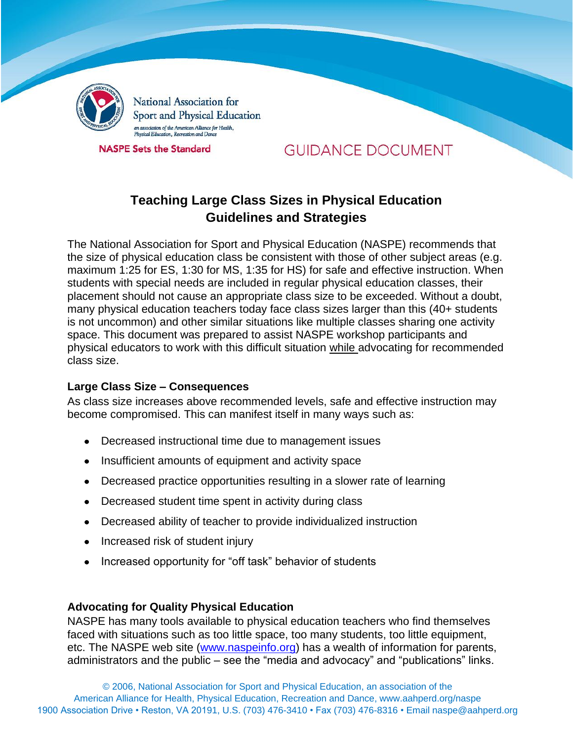

National Association for Sport and Physical Education an association of the American Alliance for Health,<br>Physical Education, Recreation and Dance

**NASPE Sets the Standard** 

# **GUIDANCE DOCUMENT**

# **Teaching Large Class Sizes in Physical Education Guidelines and Strategies**

The National Association for Sport and Physical Education (NASPE) recommends that the size of physical education class be consistent with those of other subject areas (e.g. maximum 1:25 for ES, 1:30 for MS, 1:35 for HS) for safe and effective instruction. When students with special needs are included in regular physical education classes, their placement should not cause an appropriate class size to be exceeded. Without a doubt, many physical education teachers today face class sizes larger than this (40+ students is not uncommon) and other similar situations like multiple classes sharing one activity space. This document was prepared to assist NASPE workshop participants and physical educators to work with this difficult situation while advocating for recommended class size.

### **Large Class Size – Consequences**

As class size increases above recommended levels, safe and effective instruction may become compromised. This can manifest itself in many ways such as:

- Decreased instructional time due to management issues
- Insufficient amounts of equipment and activity space
- Decreased practice opportunities resulting in a slower rate of learning
- Decreased student time spent in activity during class
- Decreased ability of teacher to provide individualized instruction
- Increased risk of student injury
- Increased opportunity for "off task" behavior of students

### **Advocating for Quality Physical Education**

NASPE has many tools available to physical education teachers who find themselves faced with situations such as too little space, too many students, too little equipment, etc. The NASPE web site (www.naspeinfo.org) has a wealth of information for parents, administrators and the public – see the "media and advocacy" and "publications" links.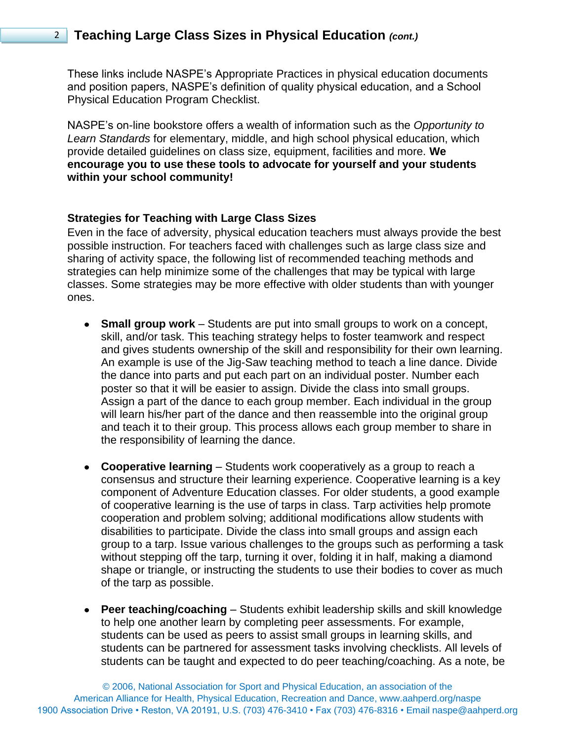## 2 **Teaching Large Class Sizes in Physical Education** *(cont.)*

These links include NASPE's Appropriate Practices in physical education documents and position papers, NASPE's definition of quality physical education, and a School Physical Education Program Checklist.

NASPE's on-line bookstore offers a wealth of information such as the *Opportunity to Learn Standards* for elementary, middle, and high school physical education, which provide detailed guidelines on class size, equipment, facilities and more. **We encourage you to use these tools to advocate for yourself and your students within your school community!** 

#### **Strategies for Teaching with Large Class Sizes**

Even in the face of adversity, physical education teachers must always provide the best possible instruction. For teachers faced with challenges such as large class size and sharing of activity space, the following list of recommended teaching methods and strategies can help minimize some of the challenges that may be typical with large classes. Some strategies may be more effective with older students than with younger ones.

- **Small group work**  Students are put into small groups to work on a concept, skill, and/or task. This teaching strategy helps to foster teamwork and respect and gives students ownership of the skill and responsibility for their own learning. An example is use of the Jig-Saw teaching method to teach a line dance. Divide the dance into parts and put each part on an individual poster. Number each poster so that it will be easier to assign. Divide the class into small groups. Assign a part of the dance to each group member. Each individual in the group will learn his/her part of the dance and then reassemble into the original group and teach it to their group. This process allows each group member to share in the responsibility of learning the dance.
- **Cooperative learning**  Students work cooperatively as a group to reach a consensus and structure their learning experience. Cooperative learning is a key component of Adventure Education classes. For older students, a good example of cooperative learning is the use of tarps in class. Tarp activities help promote cooperation and problem solving; additional modifications allow students with disabilities to participate. Divide the class into small groups and assign each group to a tarp. Issue various challenges to the groups such as performing a task without stepping off the tarp, turning it over, folding it in half, making a diamond shape or triangle, or instructing the students to use their bodies to cover as much of the tarp as possible.
- **Peer teaching/coaching**  Students exhibit leadership skills and skill knowledge to help one another learn by completing peer assessments. For example, students can be used as peers to assist small groups in learning skills, and students can be partnered for assessment tasks involving checklists. All levels of students can be taught and expected to do peer teaching/coaching. As a note, be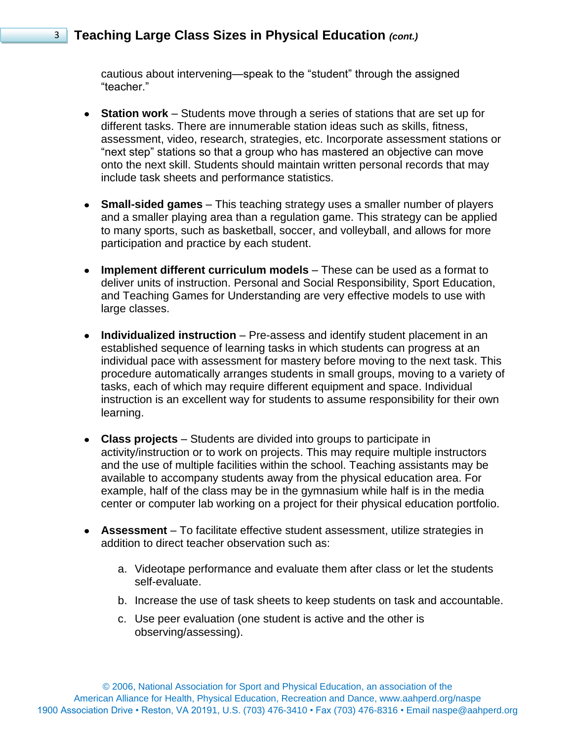## 3 **Teaching Large Class Sizes in Physical Education** *(cont.)*

cautious about intervening—speak to the "student" through the assigned "teacher."

- **Station work**  Students move through a series of stations that are set up for different tasks. There are innumerable station ideas such as skills, fitness, assessment, video, research, strategies, etc. Incorporate assessment stations or "next step" stations so that a group who has mastered an objective can move onto the next skill. Students should maintain written personal records that may include task sheets and performance statistics.
- **Small-sided games**  This teaching strategy uses a smaller number of players and a smaller playing area than a regulation game. This strategy can be applied to many sports, such as basketball, soccer, and volleyball, and allows for more participation and practice by each student.
- **Implement different curriculum models**  These can be used as a format to deliver units of instruction. Personal and Social Responsibility, Sport Education, and Teaching Games for Understanding are very effective models to use with large classes.
- **Individualized instruction** Pre-assess and identify student placement in an established sequence of learning tasks in which students can progress at an individual pace with assessment for mastery before moving to the next task. This procedure automatically arranges students in small groups, moving to a variety of tasks, each of which may require different equipment and space. Individual instruction is an excellent way for students to assume responsibility for their own learning.
- **Class projects**  Students are divided into groups to participate in activity/instruction or to work on projects. This may require multiple instructors and the use of multiple facilities within the school. Teaching assistants may be available to accompany students away from the physical education area. For example, half of the class may be in the gymnasium while half is in the media center or computer lab working on a project for their physical education portfolio.
- **Assessment**  To facilitate effective student assessment, utilize strategies in addition to direct teacher observation such as:
	- a. Videotape performance and evaluate them after class or let the students self-evaluate.
	- b. Increase the use of task sheets to keep students on task and accountable.
	- c. Use peer evaluation (one student is active and the other is observing/assessing).